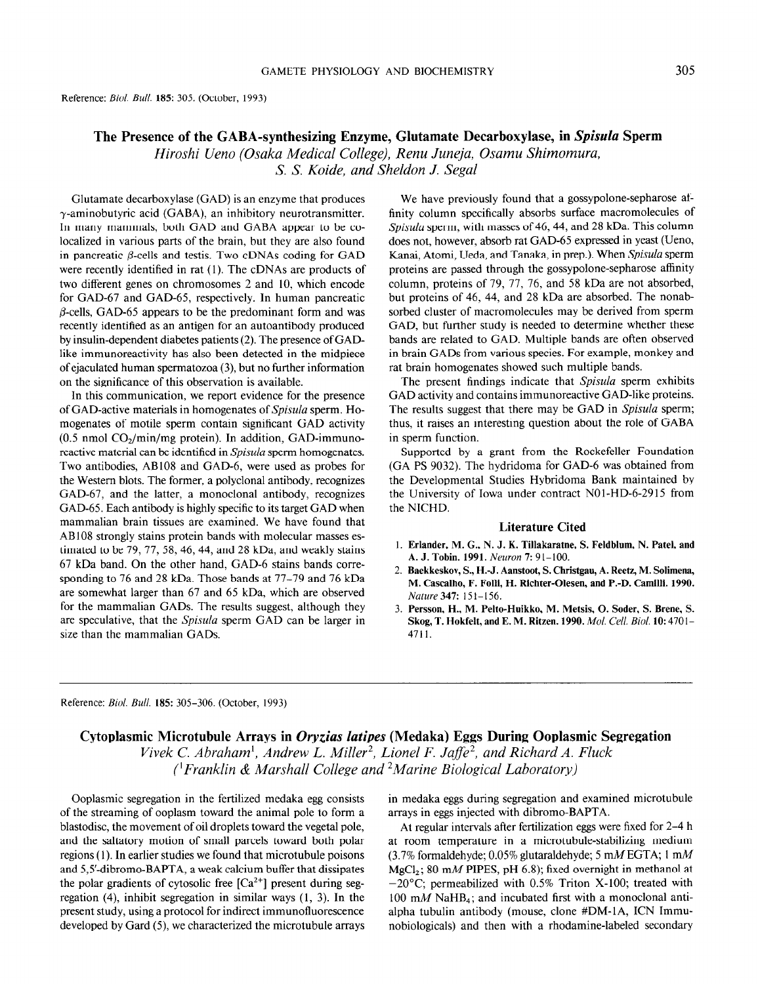## 305

## The Presence of the GABA-synthesizing Enzyme, Glutamate Decarboxylase, in Spisula Sperm Hiroshi Ueno (Osaka Medical College), Renu Juneja, Osamu Shimomura, S. S. Koide. and Sheldon J. Segal

Glutamate decarboxylase (GAD) is an enzyme that produces  $\gamma$ -aminobutyric acid (GABA), an inhibitory neurotransmitter. In many mammals, both GAD and GABA appear to be colocalized in various parts of the brain, but they are also found in pancreatic  $\beta$ -cells and testis. Two cDNAs coding for GAD were recently identified in rat (1). The cDNAs are products of two different genes on chromosomes 2 and 10, which encode for GAD-67 and GAD-65, respectively. In human pancreatic  $\beta$ -cells, GAD-65 appears to be the predominant form and was recently identified as an antigen for an autoantibody produced by insulin-dependent diabetes patients (2). The presence of GADlike immunoreactivity has also been detected in the midpiece of ejaculated human spermatozoa (3) but no further information on the significance of this observation is available.

In this communication, we report evidence for the presence of GAD-active materials in homogenates of Spisula sperm. Homogenates of motile sperm contain significant GAD activity (0.5 nmol  $CO_2/min/mg$  protein). In addition, GAD-immunoreactive material can be identified in *Spisula* sperm homogenates. Two antibodies, AB108 and GAD-6, were used as probes for the Western blots. The former, a polyclonal antibody, recognizes GAD-67, and the latter, a monoclonal antibody, recognizes GAD-65. Each antibody is highly specific to its target GAD when mammalian brain tissues are examined. We have found that AB 108 strongly stains protein bands with molecular masses estimated to be 79, 77, 58, 46, 44, and 28 kDa, and weakly stains 67 kDa band. On the other hand, GAD-6 stains bands corresponding to 76 and 28 kDa. Those bands at 77-79 and 76 kDa are somewhat larger than 67 and 65 kDa, which are observed for the maximum for the control suggests in the results suggests in the results suggests in the results of the suggest of the suggests of the control of the suggests of the suggests of the suggests of the suggests of the s for the mainmanal GADs. The results suggest, anthough they are speculative, that the *Spisula* sperm GAD can be larger in size than the mammalian GADs.

We have previously found that a gossypolone-sepharose affinity column specifically absorbs surface macromolecules of Spisula sperm, with masses of 46, 44, and 28 kDa. This column does not, however, absorb rat GAD-65 expressed in yeast (Ueno, Kanai, Atomi, Ueda, and Tanaka, in prep.). When Spisula sperm proteins are passed through the gossypolone-sepharose affinity column, proteins of 79, 77, 76, and 58 kDa are not absorbed, but proteins of 46, 44, and 28 kDa are absorbed. The nonabsorbed cluster of macromolecules may be derived from sperm GAD, but further study is needed to determine whether these bands are related to GAD. Multiple bands are often observed in brain GADS from various species. For example, monkey and rat brain homogenates showed such multiple bands.

The present findings indicate that Spisula sperm exhibits GAD activity and contains immunoreactive GAD-like proteins. The results suggest that there may be GAD in *Spisula* sperm; thus, it raises an interesting question about the role of GABA in sperm function.

Supported by a grant from the Rockefeller Foundation (GA PS 9032). The hydridoma for GAD-6 was obtained from the Developmental Studies Hybridoma Bank maintained by the University of Iowa under contract NOl-HD-6-2915 from the NICHD.

#### Literature Cited

- 1. Erlander, M. G., N. J. K. Tillakaratne, S. Feldblum, N. Patel, and A. J. Tobin. 1991. Neuron 7: 91-100.
- 2. Baekkeskov, S., H.-J. Aanstoot, S. Christgau, A. Reetz, M. Solimena,  $M_{\odot}$   $B_{\odot}$  for  $B_{\odot}$   $D_{\odot}$   $D_{\odot}$   $D_{\odot}$   $D_{\odot}$   $D_{\odot}$   $D_{\odot}$   $D_{\odot}$   $D_{\odot}$ NL Castamo, 1.1.011. 3. Persson, H., M. Pelto-Huikko, M. Metsis, 0. Soder, S. Brene, S.
- Skog, T. Hokfelt, and E. M. Ritzen. 1990. Mol. Cell. Biol. 10: 4701-4711.

Reference: Bid. Bull. 185: 305-306. (October, 1993)

# Cytoplasmic Microtubule Arrays in Oryzias latipes (Medaka) Eggs During Ooplasmic Segregation

Vivek C. Abraham<sup>1</sup>, Andrew L. Miller<sup>2</sup>, Lionel F. Jaffe<sup>2</sup>, and Richard A. Fluck ('Franklin & Marshall College and 2Marine Biological Laboratory)

Ooplasmic segregation in the fertilized medaka egg consists in medaka eggs during segregation and examine of ooplasm toward the animal pole to form a arrays in eggs injected with dibromo-BAPTA. of the streaming of ooplasm toward the animal pole to form a blastodisc, the movement of oil droplets toward the vegetal pole, and the saltatory motion of small parcels toward both polar regions (1). In earlier studies we found that microtubule poisons and 5,5'-dibromo-BAPTA, a weak calcium buffer that dissipates the polar gradients of cytosolic free  $[Ca<sup>2+</sup>]$  present during segregation (4), inhibit segregation in similar ways (1, 3). In the  $100 \text{ mM } \text{NaHB}_4$ ; and incubated first with a monoclonal anti-<br>present study, using a protocol for indirect immunofluorescence alpha tubulin antibody (mouse present study, using a protocol for indirect immunofluorescence alpha tubulin antibody (mouse, clone #DM-1A, ICN Immudeveloped by Gard (5), we characterized the microtubule arrays nobiologicals) and then with a rhodamine-l

in medaka eggs during segregation and examined microtubule

At regular intervals after fertilization eggs were fixed for 2–4 h<br>at room temperature in a microtubule-stabilizing medium  $(3.7\%$  formaldehyde; 0.05% glutaraldehyde; 5 mM EGTA; 1 mM MgCl<sub>2</sub>; 80 mM PIPES, pH 6.8); fixed overnight in methanol at  $-20^{\circ}$ C; permeabilized with 0.5% Triton X-100; treated with 100 mM NaHB<sub>4</sub>; and incubated first with a monoclonal anti-